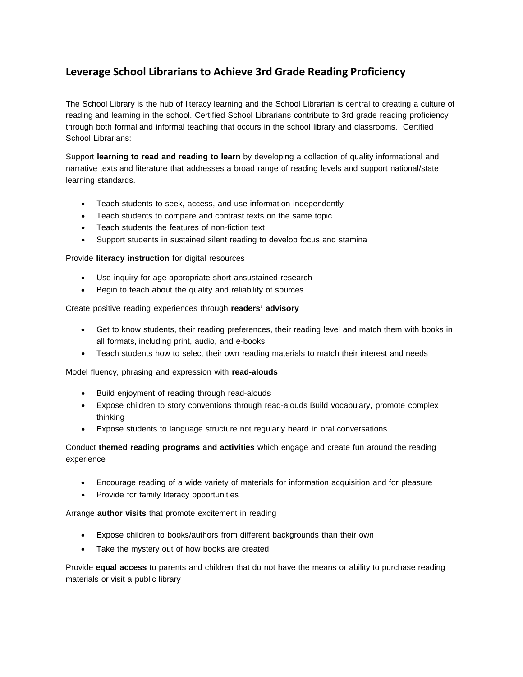## **Leverage School Librarians to Achieve 3rd Grade Reading Proficiency**

The School Library is the hub of literacy learning and the School Librarian is central to creating a culture of reading and learning in the school. Certified School Librarians contribute to 3rd grade reading proficiency through both formal and informal teaching that occurs in the school library and classrooms. Certified School Librarians:

Support **learning to read and reading to learn** by developing a collection of quality informational and narrative texts and literature that addresses a broad range of reading levels and support national/state learning standards.

- Teach students to seek, access, and use information independently
- Teach students to compare and contrast texts on the same topic
- Teach students the features of non-fiction text
- Support students in sustained silent reading to develop focus and stamina

Provide **literacy instruction** for digital resources

- Use inquiry for age-appropriate short ansustained research
- Begin to teach about the quality and reliability of sources

Create positive reading experiences through **readers' advisory**

- Get to know students, their reading preferences, their reading level and match them with books in all formats, including print, audio, and e-books
- Teach students how to select their own reading materials to match their interest and needs

Model fluency, phrasing and expression with **read-alouds**

- Build enjoyment of reading through read-alouds
- Expose children to story conventions through read-alouds Build vocabulary, promote complex thinking
- Expose students to language structure not regularly heard in oral conversations

Conduct **themed reading programs and activities** which engage and create fun around the reading experience

- Encourage reading of a wide variety of materials for information acquisition and for pleasure
- Provide for family literacy opportunities

Arrange **author visits** that promote excitement in reading

- Expose children to books/authors from different backgrounds than their own
- Take the mystery out of how books are created

Provide **equal access** to parents and children that do not have the means or ability to purchase reading materials or visit a public library